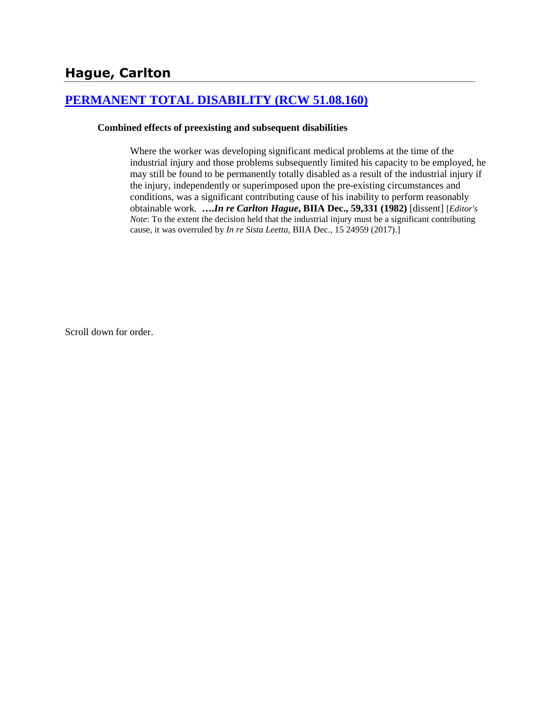# **[PERMANENT TOTAL DISABILITY \(RCW 51.08.160\)](http://www.biia.wa.gov/SDSubjectIndex.html#PERMANENT_TOTAL_DISABILITY)**

#### **Combined effects of preexisting and subsequent disabilities**

Where the worker was developing significant medical problems at the time of the industrial injury and those problems subsequently limited his capacity to be employed, he may still be found to be permanently totally disabled as a result of the industrial injury if the injury, independently or superimposed upon the pre-existing circumstances and conditions, was a significant contributing cause of his inability to perform reasonably obtainable work. **….***In re Carlton Hague***, BIIA Dec., 59,331 (1982)** [dissent] [*Editor's Note*: To the extent the decision held that the industrial injury must be a significant contributing cause, it was overruled by *In re Sista Leetta,* BIIA Dec., 15 24959 (2017).]

Scroll down for order.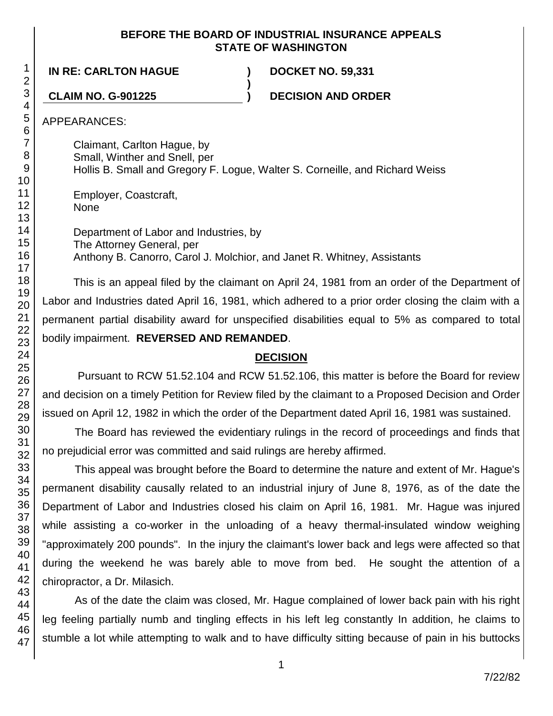## **BEFORE THE BOARD OF INDUSTRIAL INSURANCE APPEALS STATE OF WASHINGTON**

**IN RE: CARLTON HAGUE ) DOCKET NO. 59,331**

**CLAIM NO. G-901225 ) DECISION AND ORDER**

APPEARANCES:

Claimant, Carlton Hague, by Small, Winther and Snell, per Hollis B. Small and Gregory F. Logue, Walter S. Corneille, and Richard Weiss

**)**

Employer, Coastcraft, None

Department of Labor and Industries, by The Attorney General, per Anthony B. Canorro, Carol J. Molchior, and Janet R. Whitney, Assistants

This is an appeal filed by the claimant on April 24, 1981 from an order of the Department of Labor and Industries dated April 16, 1981, which adhered to a prior order closing the claim with a permanent partial disability award for unspecified disabilities equal to 5% as compared to total bodily impairment. **REVERSED AND REMANDED**.

# **DECISION**

Pursuant to RCW 51.52.104 and RCW 51.52.106, this matter is before the Board for review and decision on a timely Petition for Review filed by the claimant to a Proposed Decision and Order issued on April 12, 1982 in which the order of the Department dated April 16, 1981 was sustained.

The Board has reviewed the evidentiary rulings in the record of proceedings and finds that no prejudicial error was committed and said rulings are hereby affirmed.

This appeal was brought before the Board to determine the nature and extent of Mr. Hague's permanent disability causally related to an industrial injury of June 8, 1976, as of the date the Department of Labor and Industries closed his claim on April 16, 1981. Mr. Hague was injured while assisting a co-worker in the unloading of a heavy thermal-insulated window weighing "approximately 200 pounds". In the injury the claimant's lower back and legs were affected so that during the weekend he was barely able to move from bed. He sought the attention of a chiropractor, a Dr. Milasich.

As of the date the claim was closed, Mr. Hague complained of lower back pain with his right leg feeling partially numb and tingling effects in his left leg constantly In addition, he claims to stumble a lot while attempting to walk and to have difficulty sitting because of pain in his buttocks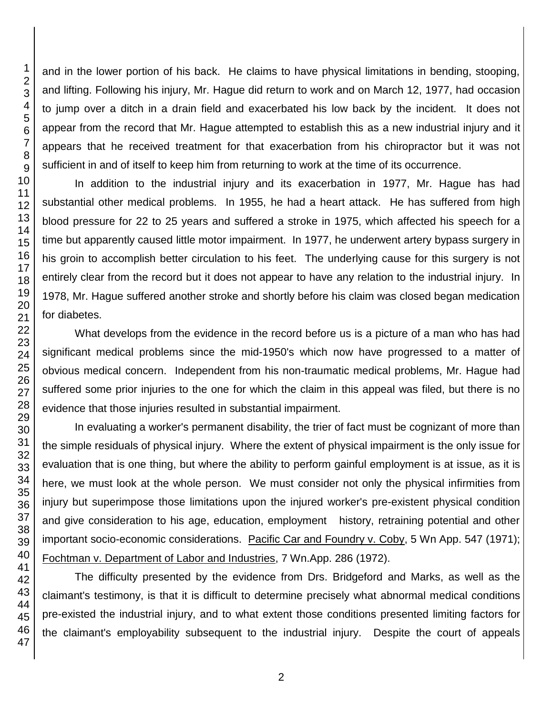and in the lower portion of his back. He claims to have physical limitations in bending, stooping, and lifting. Following his injury, Mr. Hague did return to work and on March 12, 1977, had occasion to jump over a ditch in a drain field and exacerbated his low back by the incident. It does not appear from the record that Mr. Hague attempted to establish this as a new industrial injury and it appears that he received treatment for that exacerbation from his chiropractor but it was not sufficient in and of itself to keep him from returning to work at the time of its occurrence.

In addition to the industrial injury and its exacerbation in 1977, Mr. Hague has had substantial other medical problems. In 1955, he had a heart attack. He has suffered from high blood pressure for 22 to 25 years and suffered a stroke in 1975, which affected his speech for a time but apparently caused little motor impairment. In 1977, he underwent artery bypass surgery in his groin to accomplish better circulation to his feet. The underlying cause for this surgery is not entirely clear from the record but it does not appear to have any relation to the industrial injury. In 1978, Mr. Hague suffered another stroke and shortly before his claim was closed began medication for diabetes.

What develops from the evidence in the record before us is a picture of a man who has had significant medical problems since the mid-1950's which now have progressed to a matter of obvious medical concern. Independent from his non-traumatic medical problems, Mr. Hague had suffered some prior injuries to the one for which the claim in this appeal was filed, but there is no evidence that those injuries resulted in substantial impairment.

In evaluating a worker's permanent disability, the trier of fact must be cognizant of more than the simple residuals of physical injury. Where the extent of physical impairment is the only issue for evaluation that is one thing, but where the ability to perform gainful employment is at issue, as it is here, we must look at the whole person. We must consider not only the physical infirmities from injury but superimpose those limitations upon the injured worker's pre-existent physical condition and give consideration to his age, education, employment history, retraining potential and other important socio-economic considerations. Pacific Car and Foundry v. Coby, 5 Wn App. 547 (1971); Fochtman v. Department of Labor and Industries, 7 Wn.App. 286 (1972).

The difficulty presented by the evidence from Drs. Bridgeford and Marks, as well as the claimant's testimony, is that it is difficult to determine precisely what abnormal medical conditions pre-existed the industrial injury, and to what extent those conditions presented limiting factors for the claimant's employability subsequent to the industrial injury. Despite the court of appeals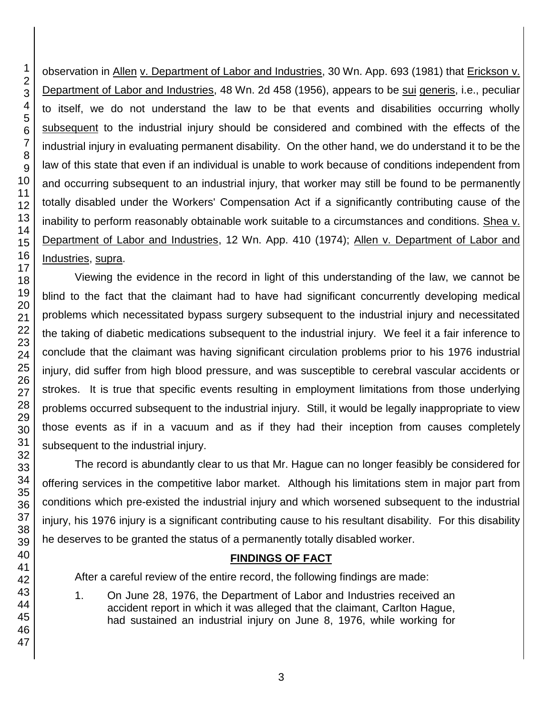observation in Allen v. Department of Labor and Industries, 30 Wn. App. 693 (1981) that Erickson v. Department of Labor and Industries, 48 Wn. 2d 458 (1956), appears to be sui generis, i.e., peculiar to itself, we do not understand the law to be that events and disabilities occurring wholly subsequent to the industrial injury should be considered and combined with the effects of the industrial injury in evaluating permanent disability. On the other hand, we do understand it to be the law of this state that even if an individual is unable to work because of conditions independent from and occurring subsequent to an industrial injury, that worker may still be found to be permanently totally disabled under the Workers' Compensation Act if a significantly contributing cause of the inability to perform reasonably obtainable work suitable to a circumstances and conditions. Shea v. Department of Labor and Industries, 12 Wn. App. 410 (1974); Allen v. Department of Labor and Industries, supra.

Viewing the evidence in the record in light of this understanding of the law, we cannot be blind to the fact that the claimant had to have had significant concurrently developing medical problems which necessitated bypass surgery subsequent to the industrial injury and necessitated the taking of diabetic medications subsequent to the industrial injury. We feel it a fair inference to conclude that the claimant was having significant circulation problems prior to his 1976 industrial injury, did suffer from high blood pressure, and was susceptible to cerebral vascular accidents or strokes. It is true that specific events resulting in employment limitations from those underlying problems occurred subsequent to the industrial injury. Still, it would be legally inappropriate to view those events as if in a vacuum and as if they had their inception from causes completely subsequent to the industrial injury.

The record is abundantly clear to us that Mr. Hague can no longer feasibly be considered for offering services in the competitive labor market. Although his limitations stem in major part from conditions which pre-existed the industrial injury and which worsened subsequent to the industrial injury, his 1976 injury is a significant contributing cause to his resultant disability. For this disability he deserves to be granted the status of a permanently totally disabled worker.

# **FINDINGS OF FACT**

After a careful review of the entire record, the following findings are made:

1. On June 28, 1976, the Department of Labor and Industries received an accident report in which it was alleged that the claimant, Carlton Hague, had sustained an industrial injury on June 8, 1976, while working for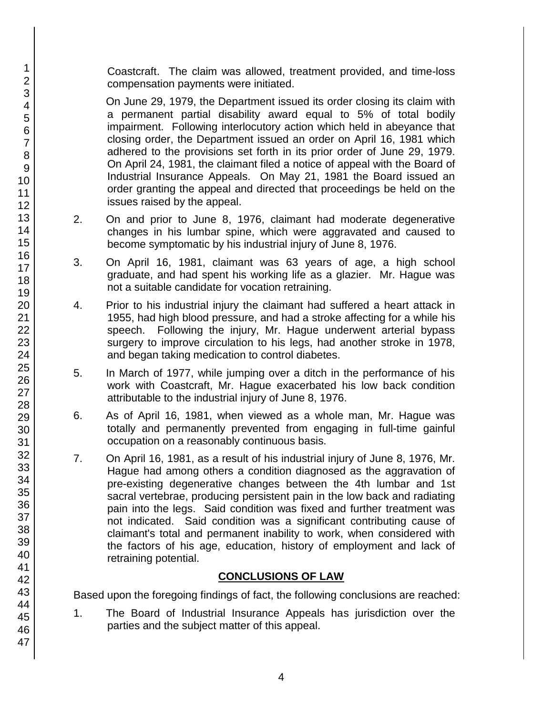Coastcraft. The claim was allowed, treatment provided, and time-loss compensation payments were initiated.

On June 29, 1979, the Department issued its order closing its claim with a permanent partial disability award equal to 5% of total bodily impairment. Following interlocutory action which held in abeyance that closing order, the Department issued an order on April 16, 1981 which adhered to the provisions set forth in its prior order of June 29, 1979. On April 24, 1981, the claimant filed a notice of appeal with the Board of Industrial Insurance Appeals. On May 21, 1981 the Board issued an order granting the appeal and directed that proceedings be held on the issues raised by the appeal.

- 2. On and prior to June 8, 1976, claimant had moderate degenerative changes in his lumbar spine, which were aggravated and caused to become symptomatic by his industrial injury of June 8, 1976.
- 3. On April 16, 1981, claimant was 63 years of age, a high school graduate, and had spent his working life as a glazier. Mr. Hague was not a suitable candidate for vocation retraining.
- 4. Prior to his industrial injury the claimant had suffered a heart attack in 1955, had high blood pressure, and had a stroke affecting for a while his speech. Following the injury, Mr. Hague underwent arterial bypass surgery to improve circulation to his legs, had another stroke in 1978, and began taking medication to control diabetes.
- 5. In March of 1977, while jumping over a ditch in the performance of his work with Coastcraft, Mr. Hague exacerbated his low back condition attributable to the industrial injury of June 8, 1976.
- 6. As of April 16, 1981, when viewed as a whole man, Mr. Hague was totally and permanently prevented from engaging in full-time gainful occupation on a reasonably continuous basis.
- 7. On April 16, 1981, as a result of his industrial injury of June 8, 1976, Mr. Hague had among others a condition diagnosed as the aggravation of pre-existing degenerative changes between the 4th lumbar and 1st sacral vertebrae, producing persistent pain in the low back and radiating pain into the legs. Said condition was fixed and further treatment was not indicated. Said condition was a significant contributing cause of claimant's total and permanent inability to work, when considered with the factors of his age, education, history of employment and lack of retraining potential.

## **CONCLUSIONS OF LAW**

Based upon the foregoing findings of fact, the following conclusions are reached:

1. The Board of Industrial Insurance Appeals has jurisdiction over the parties and the subject matter of this appeal.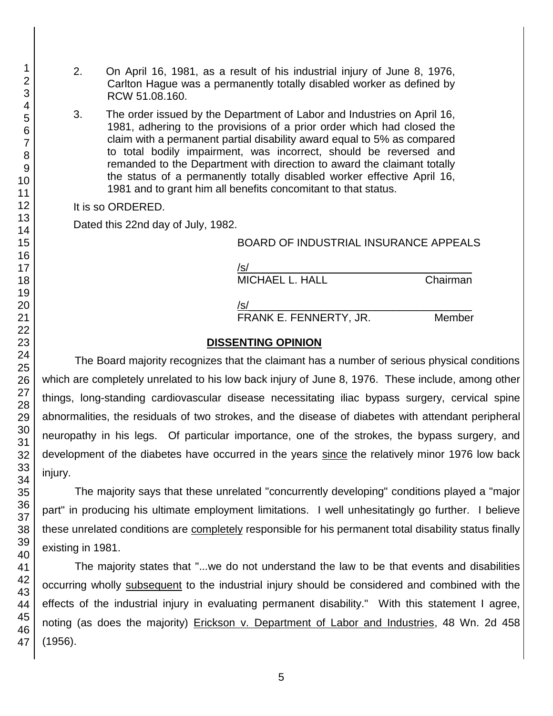- 2. On April 16, 1981, as a result of his industrial injury of June 8, 1976, Carlton Hague was a permanently totally disabled worker as defined by RCW 51.08.160.
- 3. The order issued by the Department of Labor and Industries on April 16, 1981, adhering to the provisions of a prior order which had closed the claim with a permanent partial disability award equal to 5% as compared to total bodily impairment, was incorrect, should be reversed and remanded to the Department with direction to award the claimant totally the status of a permanently totally disabled worker effective April 16, 1981 and to grant him all benefits concomitant to that status.

#### It is so ORDERED.

Dated this 22nd day of July, 1982.

### BOARD OF INDUSTRIAL INSURANCE APPEALS

| /s/             |          |
|-----------------|----------|
| MICHAEL L. HALL | Chairman |

Chairman

/s/\_\_\_\_\_\_\_\_\_\_\_\_\_\_\_\_\_\_\_\_\_\_\_\_\_\_\_\_\_\_\_\_\_\_\_\_\_ FRANK E. FENNERTY, JR. Member

### **DISSENTING OPINION**

The Board majority recognizes that the claimant has a number of serious physical conditions which are completely unrelated to his low back injury of June 8, 1976. These include, among other things, long-standing cardiovascular disease necessitating iliac bypass surgery, cervical spine abnormalities, the residuals of two strokes, and the disease of diabetes with attendant peripheral neuropathy in his legs. Of particular importance, one of the strokes, the bypass surgery, and development of the diabetes have occurred in the years since the relatively minor 1976 low back injury.

The majority says that these unrelated "concurrently developing" conditions played a "major part" in producing his ultimate employment limitations. I well unhesitatingly go further. I believe these unrelated conditions are completely responsible for his permanent total disability status finally existing in 1981.

The majority states that "...we do not understand the law to be that events and disabilities occurring wholly subsequent to the industrial injury should be considered and combined with the effects of the industrial injury in evaluating permanent disability." With this statement I agree, noting (as does the majority) Erickson v. Department of Labor and Industries, 48 Wn. 2d 458 (1956).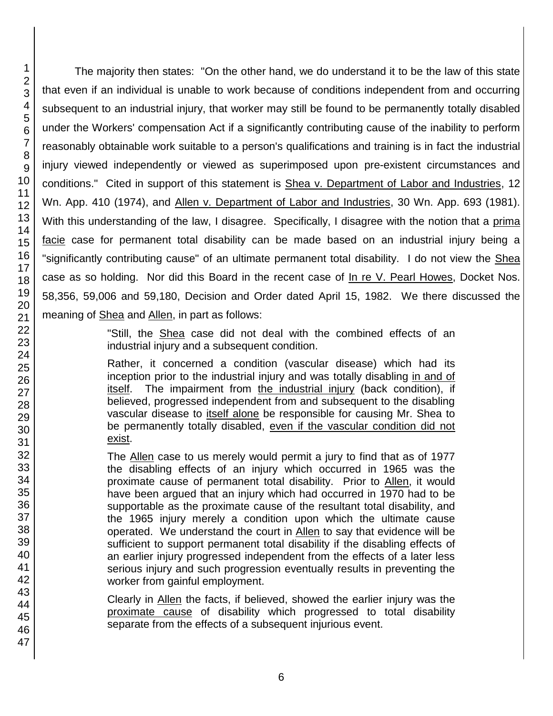The majority then states: "On the other hand, we do understand it to be the law of this state that even if an individual is unable to work because of conditions independent from and occurring subsequent to an industrial injury, that worker may still be found to be permanently totally disabled under the Workers' compensation Act if a significantly contributing cause of the inability to perform reasonably obtainable work suitable to a person's qualifications and training is in fact the industrial injury viewed independently or viewed as superimposed upon pre-existent circumstances and conditions." Cited in support of this statement is Shea v. Department of Labor and Industries, 12 Wn. App. 410 (1974), and Allen v. Department of Labor and Industries, 30 Wn. App. 693 (1981). With this understanding of the law, I disagree. Specifically, I disagree with the notion that a prima facie case for permanent total disability can be made based on an industrial injury being a "significantly contributing cause" of an ultimate permanent total disability. I do not view the Shea case as so holding. Nor did this Board in the recent case of In re V. Pearl Howes, Docket Nos. 58,356, 59,006 and 59,180, Decision and Order dated April 15, 1982. We there discussed the meaning of Shea and Allen, in part as follows:

> "Still, the Shea case did not deal with the combined effects of an industrial injury and a subsequent condition.

> Rather, it concerned a condition (vascular disease) which had its inception prior to the industrial injury and was totally disabling in and of itself. The impairment from the industrial injury (back condition), if believed, progressed independent from and subsequent to the disabling vascular disease to itself alone be responsible for causing Mr. Shea to be permanently totally disabled, even if the vascular condition did not exist.

> The Allen case to us merely would permit a jury to find that as of 1977 the disabling effects of an injury which occurred in 1965 was the proximate cause of permanent total disability. Prior to Allen, it would have been argued that an injury which had occurred in 1970 had to be supportable as the proximate cause of the resultant total disability, and the 1965 injury merely a condition upon which the ultimate cause operated. We understand the court in Allen to say that evidence will be sufficient to support permanent total disability if the disabling effects of an earlier injury progressed independent from the effects of a later less serious injury and such progression eventually results in preventing the worker from gainful employment.

> Clearly in Allen the facts, if believed, showed the earlier injury was the proximate cause of disability which progressed to total disability separate from the effects of a subsequent injurious event.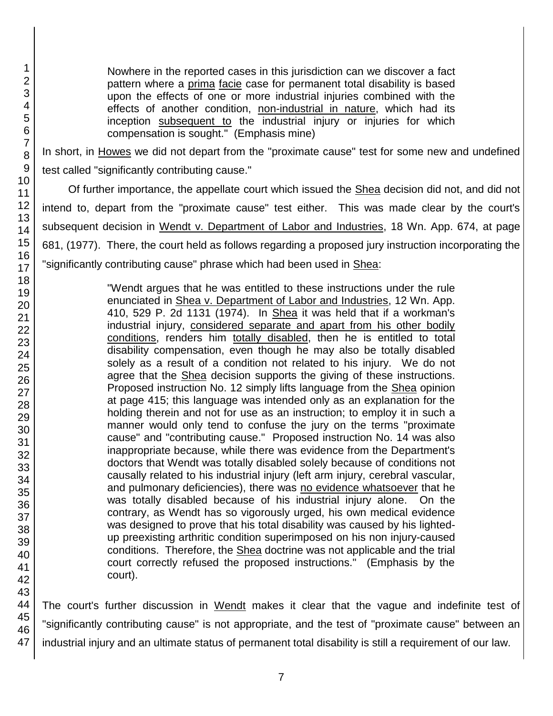Nowhere in the reported cases in this jurisdiction can we discover a fact pattern where a prima facie case for permanent total disability is based upon the effects of one or more industrial injuries combined with the effects of another condition, non-industrial in nature, which had its inception subsequent to the industrial injury or injuries for which compensation is sought." (Emphasis mine)

In short, in Howes we did not depart from the "proximate cause" test for some new and undefined test called "significantly contributing cause."

Of further importance, the appellate court which issued the Shea decision did not, and did not intend to, depart from the "proximate cause" test either. This was made clear by the court's subsequent decision in Wendt v. Department of Labor and Industries, 18 Wn. App. 674, at page 681, (1977). There, the court held as follows regarding a proposed jury instruction incorporating the "significantly contributing cause" phrase which had been used in Shea:

> "Wendt argues that he was entitled to these instructions under the rule enunciated in Shea v. Department of Labor and Industries, 12 Wn. App. 410, 529 P. 2d 1131 (1974). In Shea it was held that if a workman's industrial injury, considered separate and apart from his other bodily conditions, renders him totally disabled, then he is entitled to total disability compensation, even though he may also be totally disabled solely as a result of a condition not related to his injury. We do not agree that the Shea decision supports the giving of these instructions. Proposed instruction No. 12 simply lifts language from the Shea opinion at page 415; this language was intended only as an explanation for the holding therein and not for use as an instruction; to employ it in such a manner would only tend to confuse the jury on the terms "proximate cause" and "contributing cause." Proposed instruction No. 14 was also inappropriate because, while there was evidence from the Department's doctors that Wendt was totally disabled solely because of conditions not causally related to his industrial injury (left arm injury, cerebral vascular, and pulmonary deficiencies), there was no evidence whatsoever that he was totally disabled because of his industrial injury alone. On the contrary, as Wendt has so vigorously urged, his own medical evidence was designed to prove that his total disability was caused by his lightedup preexisting arthritic condition superimposed on his non injury-caused conditions. Therefore, the Shea doctrine was not applicable and the trial court correctly refused the proposed instructions." (Emphasis by the court).

The court's further discussion in Wendt makes it clear that the vague and indefinite test of "significantly contributing cause" is not appropriate, and the test of "proximate cause" between an industrial injury and an ultimate status of permanent total disability is still a requirement of our law.

1